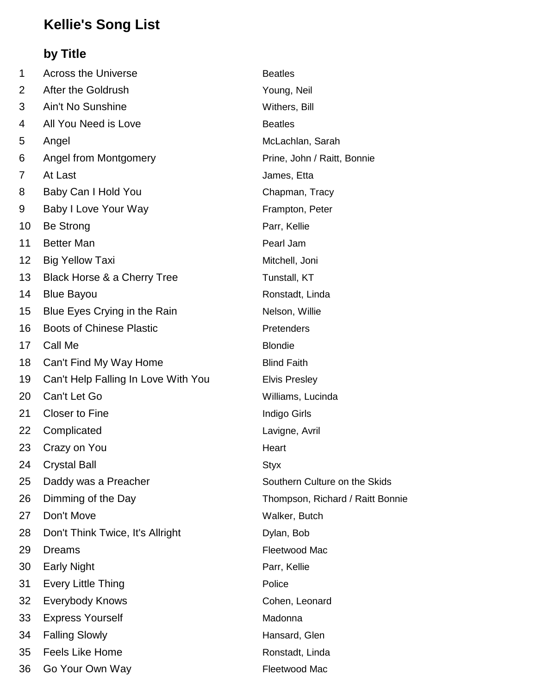## **Kellie's Song List**

## **by Title**

| 1  | <b>Across the Universe</b>          | <b>Beatles</b>                   |
|----|-------------------------------------|----------------------------------|
| 2  | After the Goldrush                  | Young, Neil                      |
| 3  | Ain't No Sunshine                   | Withers, Bill                    |
| 4  | All You Need is Love                | <b>Beatles</b>                   |
| 5  | Angel                               | McLachlan, Sarah                 |
| 6  | Angel from Montgomery               | Prine, John / Raitt, Bonnie      |
| 7  | At Last                             | James, Etta                      |
| 8  | Baby Can I Hold You                 | Chapman, Tracy                   |
| 9  | Baby I Love Your Way                | Frampton, Peter                  |
| 10 | <b>Be Strong</b>                    | Parr, Kellie                     |
| 11 | <b>Better Man</b>                   | Pearl Jam                        |
| 12 | <b>Big Yellow Taxi</b>              | Mitchell, Joni                   |
| 13 | Black Horse & a Cherry Tree         | Tunstall, KT                     |
| 14 | <b>Blue Bayou</b>                   | Ronstadt, Linda                  |
| 15 | Blue Eyes Crying in the Rain        | Nelson, Willie                   |
| 16 | <b>Boots of Chinese Plastic</b>     | Pretenders                       |
| 17 | Call Me                             | <b>Blondie</b>                   |
| 18 | Can't Find My Way Home              | <b>Blind Faith</b>               |
| 19 | Can't Help Falling In Love With You | <b>Elvis Presley</b>             |
| 20 | Can't Let Go                        | Williams, Lucinda                |
| 21 | <b>Closer to Fine</b>               | <b>Indigo Girls</b>              |
| 22 | Complicated                         | Lavigne, Avril                   |
| 23 | Crazy on You                        | Heart                            |
| 24 | <b>Crystal Ball</b>                 | <b>Styx</b>                      |
| 25 | Daddy was a Preacher                | Southern Culture on the Skids    |
| 26 | Dimming of the Day                  | Thompson, Richard / Raitt Bonnie |
| 27 | Don't Move                          | Walker, Butch                    |
| 28 | Don't Think Twice, It's Allright    | Dylan, Bob                       |
| 29 | <b>Dreams</b>                       | Fleetwood Mac                    |
| 30 | <b>Early Night</b>                  | Parr, Kellie                     |
| 31 | <b>Every Little Thing</b>           | Police                           |
| 32 | <b>Everybody Knows</b>              | Cohen, Leonard                   |
| 33 | <b>Express Yourself</b>             | Madonna                          |
| 34 | <b>Falling Slowly</b>               | Hansard, Glen                    |
| 35 | <b>Feels Like Home</b>              | Ronstadt, Linda                  |
| 36 | Go Your Own Way                     | Fleetwood Mac                    |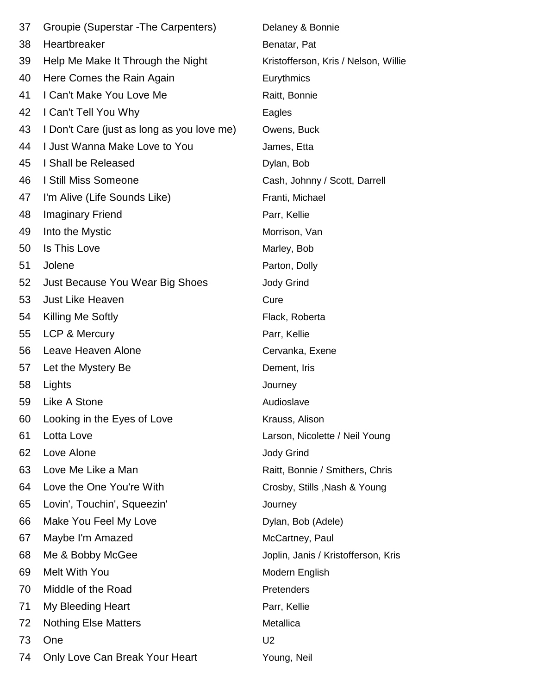| 37 | Groupie (Superstar - The Carpenters)       | Delaney & Bonnie                     |
|----|--------------------------------------------|--------------------------------------|
| 38 | Heartbreaker                               | Benatar, Pat                         |
| 39 | Help Me Make It Through the Night          | Kristofferson, Kris / Nelson, Willie |
| 40 | Here Comes the Rain Again                  | Eurythmics                           |
| 41 | I Can't Make You Love Me                   | Raitt, Bonnie                        |
| 42 | I Can't Tell You Why                       | Eagles                               |
| 43 | I Don't Care (just as long as you love me) | Owens, Buck                          |
| 44 | I Just Wanna Make Love to You              | James, Etta                          |
| 45 | I Shall be Released                        | Dylan, Bob                           |
| 46 | I Still Miss Someone                       | Cash, Johnny / Scott, Darrell        |
| 47 | I'm Alive (Life Sounds Like)               | Franti, Michael                      |
| 48 | <b>Imaginary Friend</b>                    | Parr, Kellie                         |
| 49 | Into the Mystic                            | Morrison, Van                        |
| 50 | Is This Love                               | Marley, Bob                          |
| 51 | Jolene                                     | Parton, Dolly                        |
| 52 | Just Because You Wear Big Shoes            | <b>Jody Grind</b>                    |
| 53 | <b>Just Like Heaven</b>                    | Cure                                 |
| 54 | Killing Me Softly                          | Flack, Roberta                       |
| 55 | LCP & Mercury                              | Parr, Kellie                         |
| 56 | Leave Heaven Alone                         | Cervanka, Exene                      |
| 57 | Let the Mystery Be                         | Dement, Iris                         |
| 58 | Lights                                     | Journey                              |
| 59 | Like A Stone                               | Audioslave                           |
| 60 | Looking in the Eyes of Love                | Krauss, Alison                       |
| 61 | Lotta Love                                 | Larson, Nicolette / Neil Young       |
| 62 | Love Alone                                 | <b>Jody Grind</b>                    |
| 63 | Love Me Like a Man                         | Raitt, Bonnie / Smithers, Chris      |
| 64 | Love the One You're With                   | Crosby, Stills, Nash & Young         |
| 65 | Lovin', Touchin', Squeezin'                | Journey                              |
| 66 | Make You Feel My Love                      | Dylan, Bob (Adele)                   |
| 67 | Maybe I'm Amazed                           | McCartney, Paul                      |
| 68 | Me & Bobby McGee                           | Joplin, Janis / Kristofferson, Kris  |
| 69 | Melt With You                              | Modern English                       |
| 70 | Middle of the Road                         | Pretenders                           |
| 71 | My Bleeding Heart                          | Parr, Kellie                         |
| 72 | <b>Nothing Else Matters</b>                | Metallica                            |
| 73 | One                                        | U <sub>2</sub>                       |
| 74 | Only Love Can Break Your Heart             | Young, Neil                          |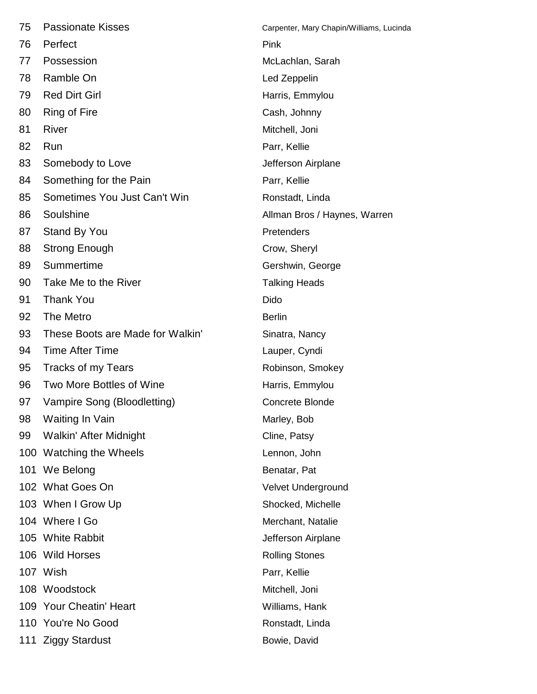| 75 | <b>Passionate Kisses</b>         | Carpenter, Mary Chapin/Williams, Lucinda |
|----|----------------------------------|------------------------------------------|
| 76 | Perfect                          | Pink                                     |
| 77 | Possession                       | McLachlan, Sarah                         |
| 78 | Ramble On                        | Led Zeppelin                             |
| 79 | <b>Red Dirt Girl</b>             | Harris, Emmylou                          |
| 80 | Ring of Fire                     | Cash, Johnny                             |
| 81 | River                            | Mitchell, Joni                           |
| 82 | Run                              | Parr, Kellie                             |
| 83 | Somebody to Love                 | Jefferson Airplane                       |
| 84 | Something for the Pain           | Parr, Kellie                             |
| 85 | Sometimes You Just Can't Win     | Ronstadt, Linda                          |
| 86 | Soulshine                        | Allman Bros / Haynes, Warren             |
| 87 | <b>Stand By You</b>              | Pretenders                               |
| 88 | <b>Strong Enough</b>             | Crow, Sheryl                             |
| 89 | Summertime                       | Gershwin, George                         |
| 90 | Take Me to the River             | <b>Talking Heads</b>                     |
| 91 | <b>Thank You</b>                 | Dido                                     |
| 92 | The Metro                        | <b>Berlin</b>                            |
| 93 | These Boots are Made for Walkin' | Sinatra, Nancy                           |
| 94 | <b>Time After Time</b>           | Lauper, Cyndi                            |
| 95 | Tracks of my Tears               | Robinson, Smokey                         |
| 96 | Two More Bottles of Wine         | Harris, Emmylou                          |
| 97 | Vampire Song (Bloodletting)      | <b>Concrete Blonde</b>                   |
| 98 | Waiting In Vain                  | Marley, Bob                              |
| 99 | Walkin' After Midnight           | Cline, Patsy                             |
|    | 100 Watching the Wheels          | Lennon, John                             |
|    | 101 We Belong                    | Benatar, Pat                             |
|    | 102 What Goes On                 | Velvet Underground                       |
|    | 103 When I Grow Up               | Shocked, Michelle                        |
|    | 104 Where I Go                   | Merchant, Natalie                        |
|    | 105 White Rabbit                 | Jefferson Airplane                       |
|    | 106 Wild Horses                  | <b>Rolling Stones</b>                    |
|    | 107 Wish                         | Parr, Kellie                             |
|    | 108 Woodstock                    | Mitchell, Joni                           |
|    | 109 Your Cheatin' Heart          | Williams, Hank                           |
|    | 110 You're No Good               | Ronstadt, Linda                          |
|    | 111 Ziggy Stardust               | Bowie, David                             |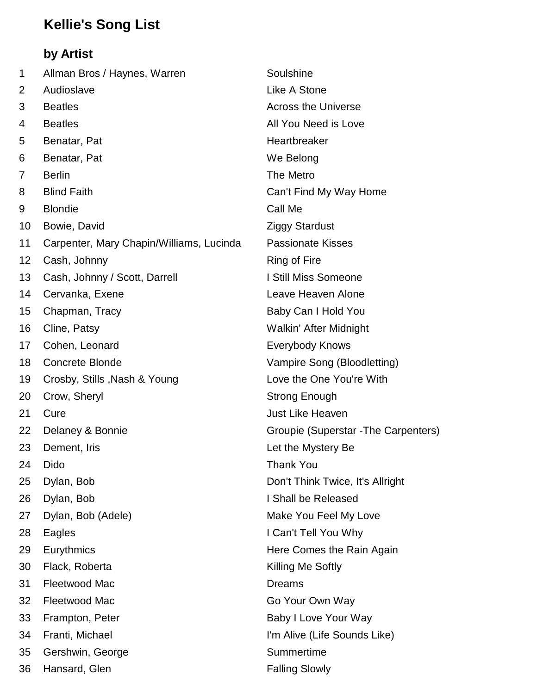## **Kellie's Song List**

## **by Artist**

| 1  | Allman Bros / Haynes, Warren             | Soulshine                            |
|----|------------------------------------------|--------------------------------------|
| 2  | Audioslave                               | Like A Stone                         |
| 3  | <b>Beatles</b>                           | <b>Across the Universe</b>           |
| 4  | <b>Beatles</b>                           | All You Need is Love                 |
| 5  | Benatar, Pat                             | Heartbreaker                         |
| 6  | Benatar, Pat                             | We Belong                            |
| 7  | <b>Berlin</b>                            | The Metro                            |
| 8  | <b>Blind Faith</b>                       | Can't Find My Way Home               |
| 9  | <b>Blondie</b>                           | Call Me                              |
| 10 | Bowie, David                             | <b>Ziggy Stardust</b>                |
| 11 | Carpenter, Mary Chapin/Williams, Lucinda | <b>Passionate Kisses</b>             |
| 12 | Cash, Johnny                             | <b>Ring of Fire</b>                  |
| 13 | Cash, Johnny / Scott, Darrell            | I Still Miss Someone                 |
| 14 | Cervanka, Exene                          | Leave Heaven Alone                   |
| 15 | Chapman, Tracy                           | Baby Can I Hold You                  |
| 16 | Cline, Patsy                             | Walkin' After Midnight               |
| 17 | Cohen, Leonard                           | <b>Everybody Knows</b>               |
| 18 | <b>Concrete Blonde</b>                   | Vampire Song (Bloodletting)          |
| 19 | Crosby, Stills, Nash & Young             | Love the One You're With             |
| 20 | Crow, Sheryl                             | <b>Strong Enough</b>                 |
| 21 | Cure                                     | <b>Just Like Heaven</b>              |
| 22 | Delaney & Bonnie                         | Groupie (Superstar - The Carpenters) |
| 23 | Dement, Iris                             | Let the Mystery Be                   |
| 24 | Dido                                     | Thank You                            |
| 25 | Dylan, Bob                               | Don't Think Twice, It's Allright     |
| 26 | Dylan, Bob                               | I Shall be Released                  |
| 27 | Dylan, Bob (Adele)                       | Make You Feel My Love                |
| 28 | Eagles                                   | I Can't Tell You Why                 |
| 29 | Eurythmics                               | Here Comes the Rain Again            |
| 30 | Flack, Roberta                           | Killing Me Softly                    |
| 31 | Fleetwood Mac                            | <b>Dreams</b>                        |
| 32 | Fleetwood Mac                            | Go Your Own Way                      |
| 33 | Frampton, Peter                          | Baby I Love Your Way                 |
| 34 | Franti, Michael                          | I'm Alive (Life Sounds Like)         |
| 35 | Gershwin, George                         | Summertime                           |
| 36 | Hansard, Glen                            | <b>Falling Slowly</b>                |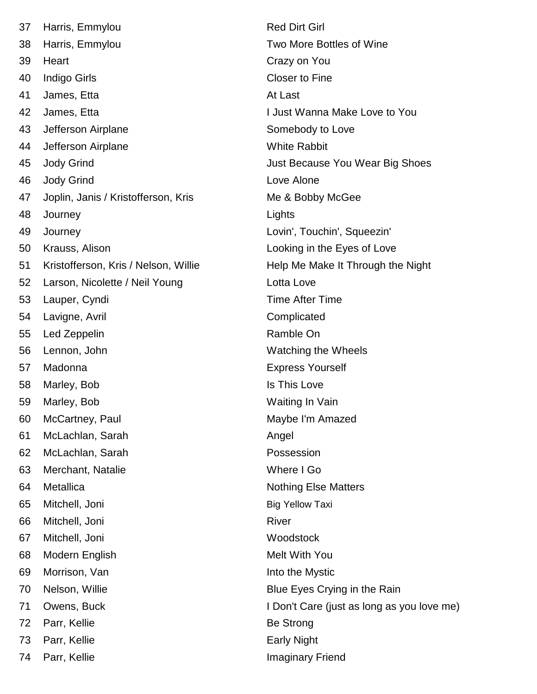| 37 | Harris, Emmylou                      | <b>Red Di</b>   |
|----|--------------------------------------|-----------------|
| 38 | Harris, Emmylou                      | Two M           |
| 39 | Heart                                | Crazy o         |
| 40 | <b>Indigo Girls</b>                  | Closer          |
| 41 | James, Etta                          | At Last         |
| 42 | James, Etta                          | I Just V        |
| 43 | Jefferson Airplane                   | Someb           |
| 44 | Jefferson Airplane                   | White I         |
| 45 | <b>Jody Grind</b>                    | Just Be         |
| 46 | <b>Jody Grind</b>                    | Love A          |
| 47 | Joplin, Janis / Kristofferson, Kris  | Me & E          |
| 48 | Journey                              | Lights          |
| 49 | Journey                              | Lovin',         |
| 50 | Krauss, Alison                       | Lookin          |
| 51 | Kristofferson, Kris / Nelson, Willie | Help M          |
| 52 | Larson, Nicolette / Neil Young       | Lotta L         |
| 53 | Lauper, Cyndi                        | Time A          |
| 54 | Lavigne, Avril                       | Compli          |
| 55 | Led Zeppelin                         | Ramble          |
| 56 | Lennon, John                         | Watchi          |
| 57 | Madonna                              | <b>Expres</b>   |
| 58 | Marley, Bob                          | Is This         |
| 59 | Marley, Bob                          | Waiting         |
| 60 | McCartney, Paul                      | Maybe           |
| 61 | McLachlan, Sarah                     | Angel           |
| 62 | McLachlan, Sarah                     | Posses          |
| 63 | Merchant, Natalie                    | Where           |
| 64 | Metallica                            | Nothing         |
| 65 | Mitchell, Joni                       | <b>Big Yell</b> |
| 66 | Mitchell, Joni                       | River           |
| 67 | Mitchell, Joni                       | Woods           |
| 68 | Modern English                       | Melt W          |
| 69 | Morrison, Van                        | Into the        |
| 70 | Nelson, Willie                       | Blue E          |
| 71 | Owens, Buck                          | I Don't         |
| 72 | Parr, Kellie                         | <b>Be Stro</b>  |
| 73 | Parr, Kellie                         | Early N         |
| 74 | Parr, Kellie                         | Imagin          |

Red Dirt Girl Two More Bottles of Wine Crazy on You Closer to Fine 1 Just Wanna Make Love to You Somebody to Love White Rabbit Just Because You Wear Big Shoes Love Alone Me & Bobby McGee Lovin', Touchin', Squeezin' Looking in the Eyes of Love Help Me Make It Through the Night Lotta Love Time After Time Complicated Ramble On Watching the Wheels **Express Yourself** Is This Love Waiting In Vain Maybe I'm Amazed Possession Where I Go Nothing Else Matters **Big Yellow Taxi** Woodstock Melt With You Into the Mystic Blue Eyes Crying in the Rain I Don't Care (just as long as you love me) Be Strong Early Night Imaginary Friend